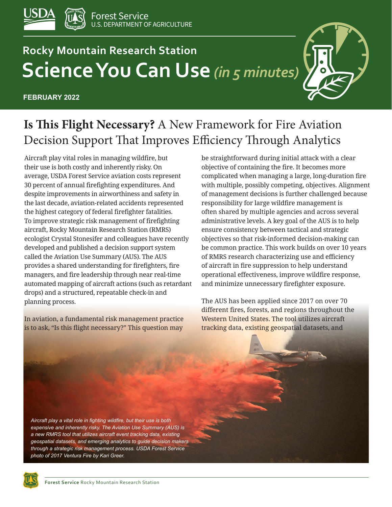

# **Rocky Mountain Research Station Science You Can Use** *(in 5 minutes)*

**FEBRUARY 2022**



# **Is This Flight Necessary?** A New Framework for Fire Aviation Decision Support That Improves Efficiency Through Analytics

Aircraft play vital roles in managing wildfire, but their use is both costly and inherently risky. On average, USDA Forest Service aviation costs represent 30 percent of annual firefighting expenditures. And despite improvements in airworthiness and safety in the last decade, aviation-related accidents represented the highest category of federal firefighter fatalities. To improve strategic risk management of firefighting aircraft, Rocky Mountain Research Station (RMRS) ecologist Crystal Stonesifer and colleagues have recently developed and published a decision support system called the Aviation Use Summary (AUS). The AUS provides a shared understanding for firefighters, fire managers, and fire leadership through near real-time automated mapping of aircraft actions (such as retardant drops) and a structured, repeatable check-in and planning process.

In aviation, a fundamental risk management practice is to ask, "Is this flight necessary?" This question may

be straightforward during initial attack with a clear objective of containing the fire. It becomes more complicated when managing a large, long-duration fire with multiple, possibly competing, objectives. Alignment of management decisions is further challenged because responsibility for large wildfire management is often shared by multiple agencies and across several administrative levels. A key goal of the AUS is to help ensure consistency between tactical and strategic objectives so that risk-informed decision-making can be common practice. This work builds on over 10 years of RMRS research characterizing use and efficiency of aircraft in fire suppression to help understand operational effectiveness, improve wildfire response, and minimize unnecessary firefighter exposure.

The AUS has been applied since 2017 on over 70 different fires, forests, and regions throughout the Western United States. The tool utilizes aircraft tracking data, existing geospatial datasets, and

*Aircraft play a vital role in fighting wildfire, but their use is both expensive and inherently risky. The Aviation Use Summary (AUS) is a new RMRS tool that utilizes aircraft event tracking data, existing geospatial datasets, and emerging analytics to guide decision makers through a strategic risk management process. USDA Forest Service photo of 2017 Ventura Fire by Kari Greer.*